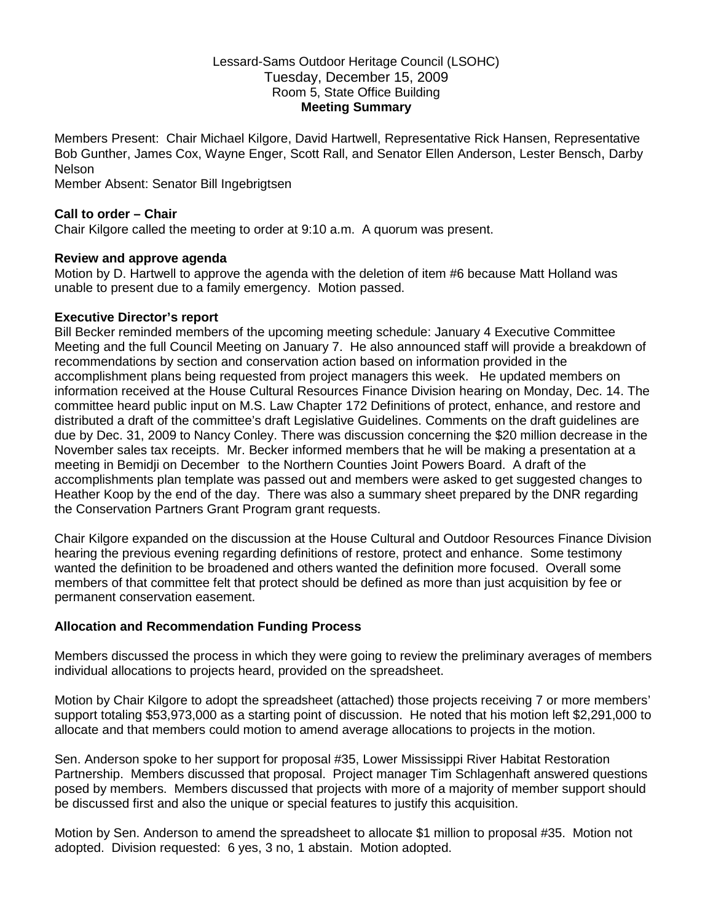### Lessard-Sams Outdoor Heritage Council (LSOHC) Tuesday, December 15, 2009 Room 5, State Office Building **Meeting Summary**

Members Present: Chair Michael Kilgore, David Hartwell, Representative Rick Hansen, Representative Bob Gunther, James Cox, Wayne Enger, Scott Rall, and Senator Ellen Anderson, Lester Bensch, Darby Nelson

Member Absent: Senator Bill Ingebrigtsen

# **Call to order – Chair**

Chair Kilgore called the meeting to order at 9:10 a.m. A quorum was present.

### **Review and approve agenda**

Motion by D. Hartwell to approve the agenda with the deletion of item #6 because Matt Holland was unable to present due to a family emergency. Motion passed.

#### **Executive Director's report**

Bill Becker reminded members of the upcoming meeting schedule: January 4 Executive Committee Meeting and the full Council Meeting on January 7. He also announced staff will provide a breakdown of recommendations by section and conservation action based on information provided in the accomplishment plans being requested from project managers this week. He updated members on information received at the House Cultural Resources Finance Division hearing on Monday, Dec. 14. The committee heard public input on M.S. Law Chapter 172 Definitions of protect, enhance, and restore and distributed a draft of the committee's draft Legislative Guidelines. Comments on the draft guidelines are due by Dec. 31, 2009 to Nancy Conley. There was discussion concerning the \$20 million decrease in the November sales tax receipts. Mr. Becker informed members that he will be making a presentation at a meeting in Bemidji on December to the Northern Counties Joint Powers Board. A draft of the accomplishments plan template was passed out and members were asked to get suggested changes to Heather Koop by the end of the day. There was also a summary sheet prepared by the DNR regarding the Conservation Partners Grant Program grant requests.

Chair Kilgore expanded on the discussion at the House Cultural and Outdoor Resources Finance Division hearing the previous evening regarding definitions of restore, protect and enhance. Some testimony wanted the definition to be broadened and others wanted the definition more focused. Overall some members of that committee felt that protect should be defined as more than just acquisition by fee or permanent conservation easement.

# **Allocation and Recommendation Funding Process**

Members discussed the process in which they were going to review the preliminary averages of members individual allocations to projects heard, provided on the spreadsheet.

Motion by Chair Kilgore to adopt the spreadsheet (attached) those projects receiving 7 or more members' support totaling \$53,973,000 as a starting point of discussion. He noted that his motion left \$2,291,000 to allocate and that members could motion to amend average allocations to projects in the motion.

Sen. Anderson spoke to her support for proposal #35, Lower Mississippi River Habitat Restoration Partnership. Members discussed that proposal. Project manager Tim Schlagenhaft answered questions posed by members. Members discussed that projects with more of a majority of member support should be discussed first and also the unique or special features to justify this acquisition.

Motion by Sen. Anderson to amend the spreadsheet to allocate \$1 million to proposal #35. Motion not adopted. Division requested: 6 yes, 3 no, 1 abstain. Motion adopted.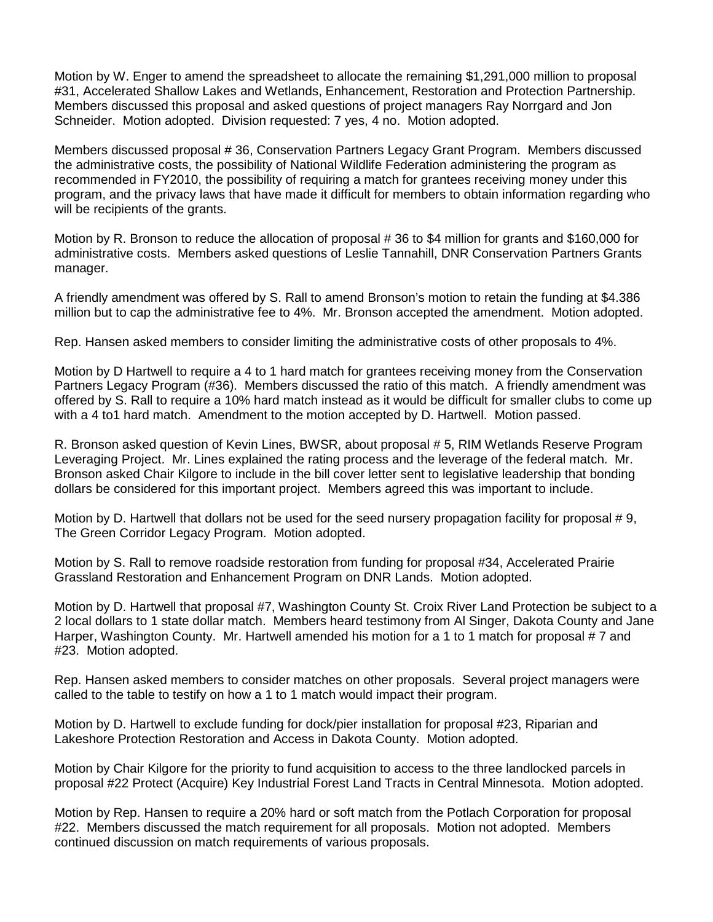Motion by W. Enger to amend the spreadsheet to allocate the remaining \$1,291,000 million to proposal #31, Accelerated Shallow Lakes and Wetlands, Enhancement, Restoration and Protection Partnership. Members discussed this proposal and asked questions of project managers Ray Norrgard and Jon Schneider. Motion adopted. Division requested: 7 yes, 4 no. Motion adopted.

Members discussed proposal # 36, Conservation Partners Legacy Grant Program. Members discussed the administrative costs, the possibility of National Wildlife Federation administering the program as recommended in FY2010, the possibility of requiring a match for grantees receiving money under this program, and the privacy laws that have made it difficult for members to obtain information regarding who will be recipients of the grants.

Motion by R. Bronson to reduce the allocation of proposal # 36 to \$4 million for grants and \$160,000 for administrative costs. Members asked questions of Leslie Tannahill, DNR Conservation Partners Grants manager.

A friendly amendment was offered by S. Rall to amend Bronson's motion to retain the funding at \$4.386 million but to cap the administrative fee to 4%. Mr. Bronson accepted the amendment. Motion adopted.

Rep. Hansen asked members to consider limiting the administrative costs of other proposals to 4%.

Motion by D Hartwell to require a 4 to 1 hard match for grantees receiving money from the Conservation Partners Legacy Program (#36). Members discussed the ratio of this match. A friendly amendment was offered by S. Rall to require a 10% hard match instead as it would be difficult for smaller clubs to come up with a 4 to1 hard match. Amendment to the motion accepted by D. Hartwell. Motion passed.

R. Bronson asked question of Kevin Lines, BWSR, about proposal # 5, RIM Wetlands Reserve Program Leveraging Project. Mr. Lines explained the rating process and the leverage of the federal match. Mr. Bronson asked Chair Kilgore to include in the bill cover letter sent to legislative leadership that bonding dollars be considered for this important project. Members agreed this was important to include.

Motion by D. Hartwell that dollars not be used for the seed nursery propagation facility for proposal # 9, The Green Corridor Legacy Program. Motion adopted.

Motion by S. Rall to remove roadside restoration from funding for proposal #34, Accelerated Prairie Grassland Restoration and Enhancement Program on DNR Lands. Motion adopted.

Motion by D. Hartwell that proposal #7, Washington County St. Croix River Land Protection be subject to a 2 local dollars to 1 state dollar match. Members heard testimony from Al Singer, Dakota County and Jane Harper, Washington County. Mr. Hartwell amended his motion for a 1 to 1 match for proposal # 7 and #23. Motion adopted.

Rep. Hansen asked members to consider matches on other proposals. Several project managers were called to the table to testify on how a 1 to 1 match would impact their program.

Motion by D. Hartwell to exclude funding for dock/pier installation for proposal #23, Riparian and Lakeshore Protection Restoration and Access in Dakota County. Motion adopted.

Motion by Chair Kilgore for the priority to fund acquisition to access to the three landlocked parcels in proposal #22 Protect (Acquire) Key Industrial Forest Land Tracts in Central Minnesota. Motion adopted.

Motion by Rep. Hansen to require a 20% hard or soft match from the Potlach Corporation for proposal #22. Members discussed the match requirement for all proposals. Motion not adopted. Members continued discussion on match requirements of various proposals.